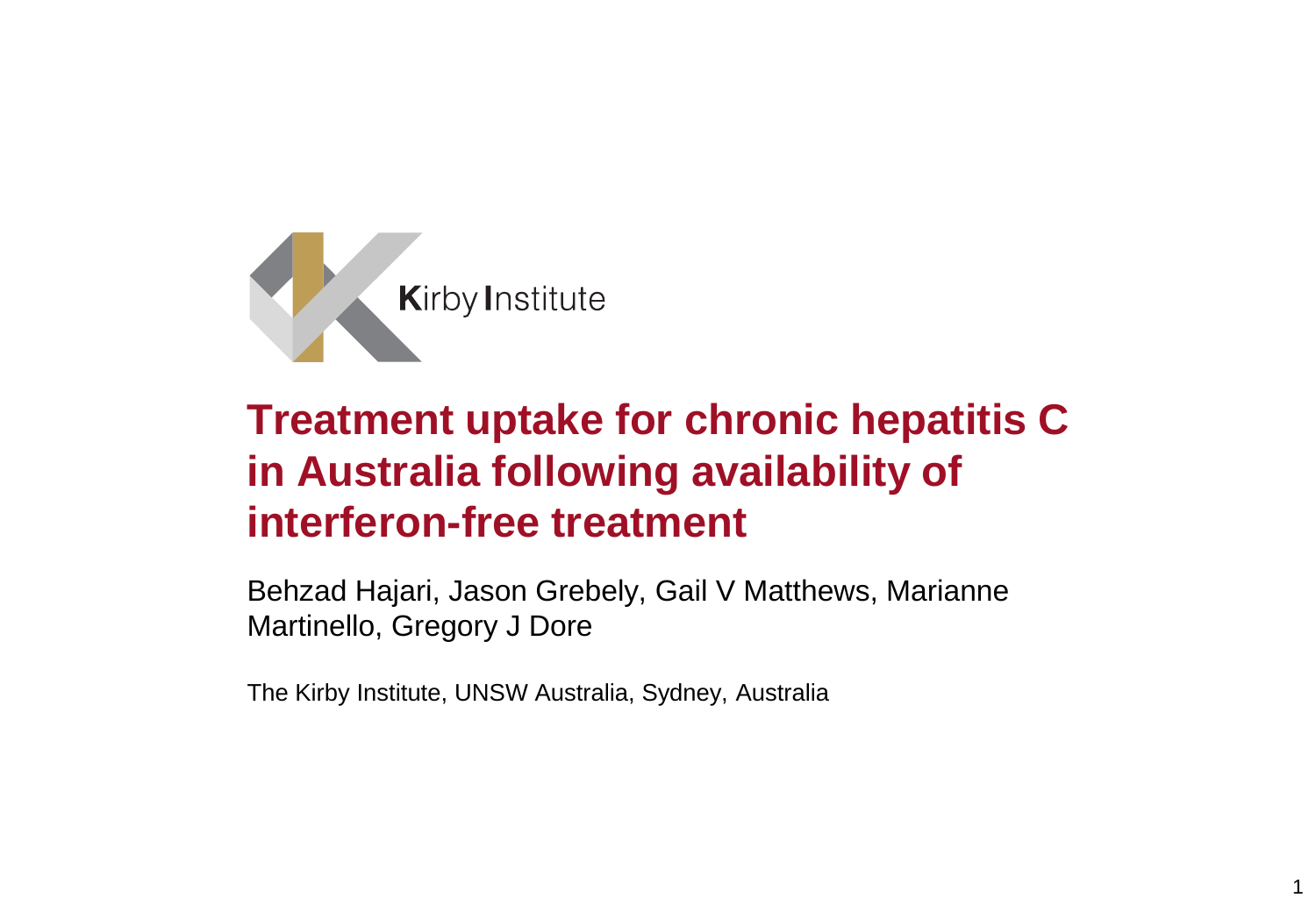

# **Treatment uptake for chronic hepatitis C in Australia following availability of interferon-free treatment**

Behzad Hajari, Jason Grebely, Gail V Matthews, Marianne Martinello, Gregory J Dore

1

The Kirby Institute, UNSW Australia, Sydney, Australia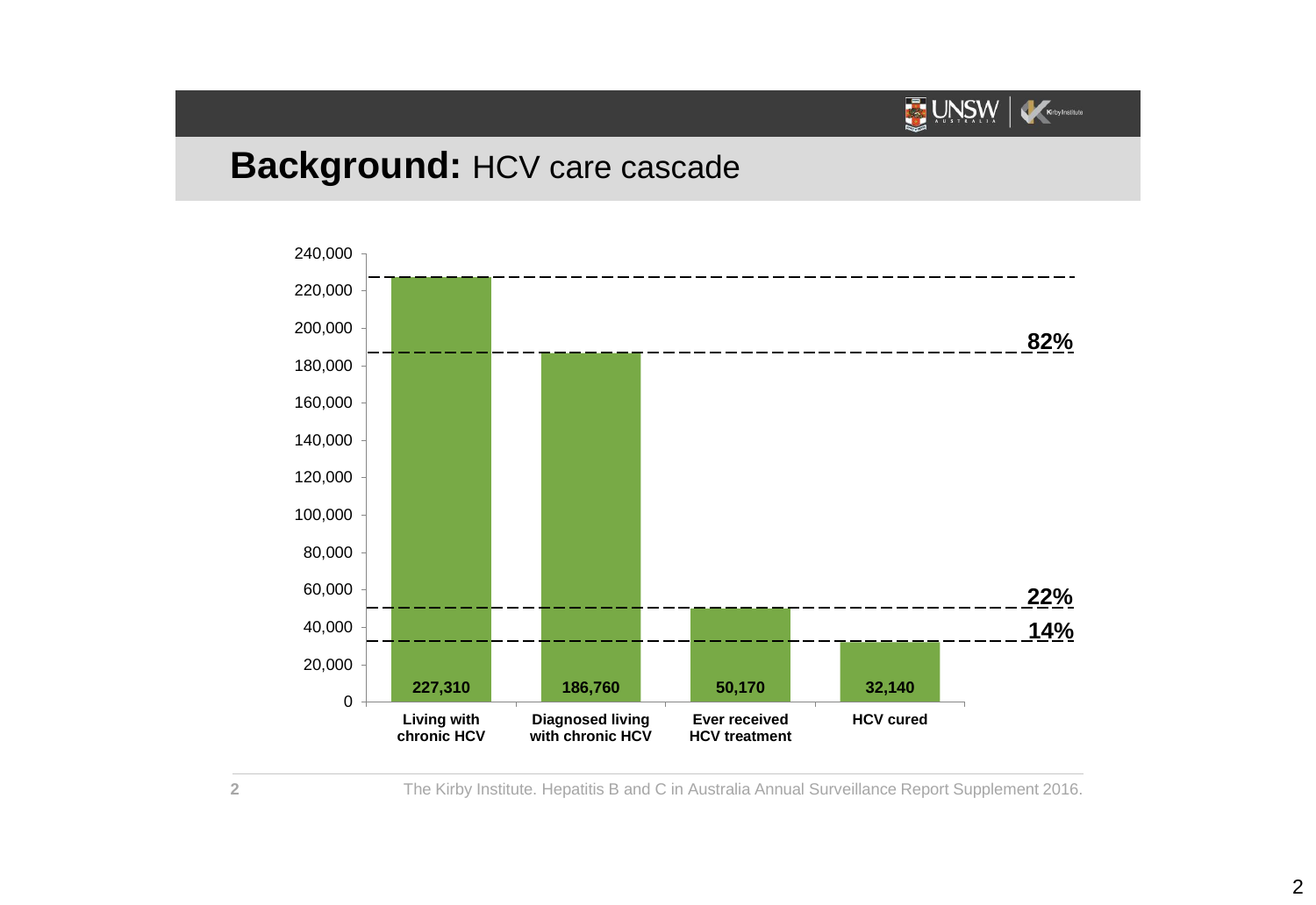

#### **Background:** HCV care cascade



The Kirby Institute. Hepatitis B and C in Australia Annual Surveillance Report Supplement 2016.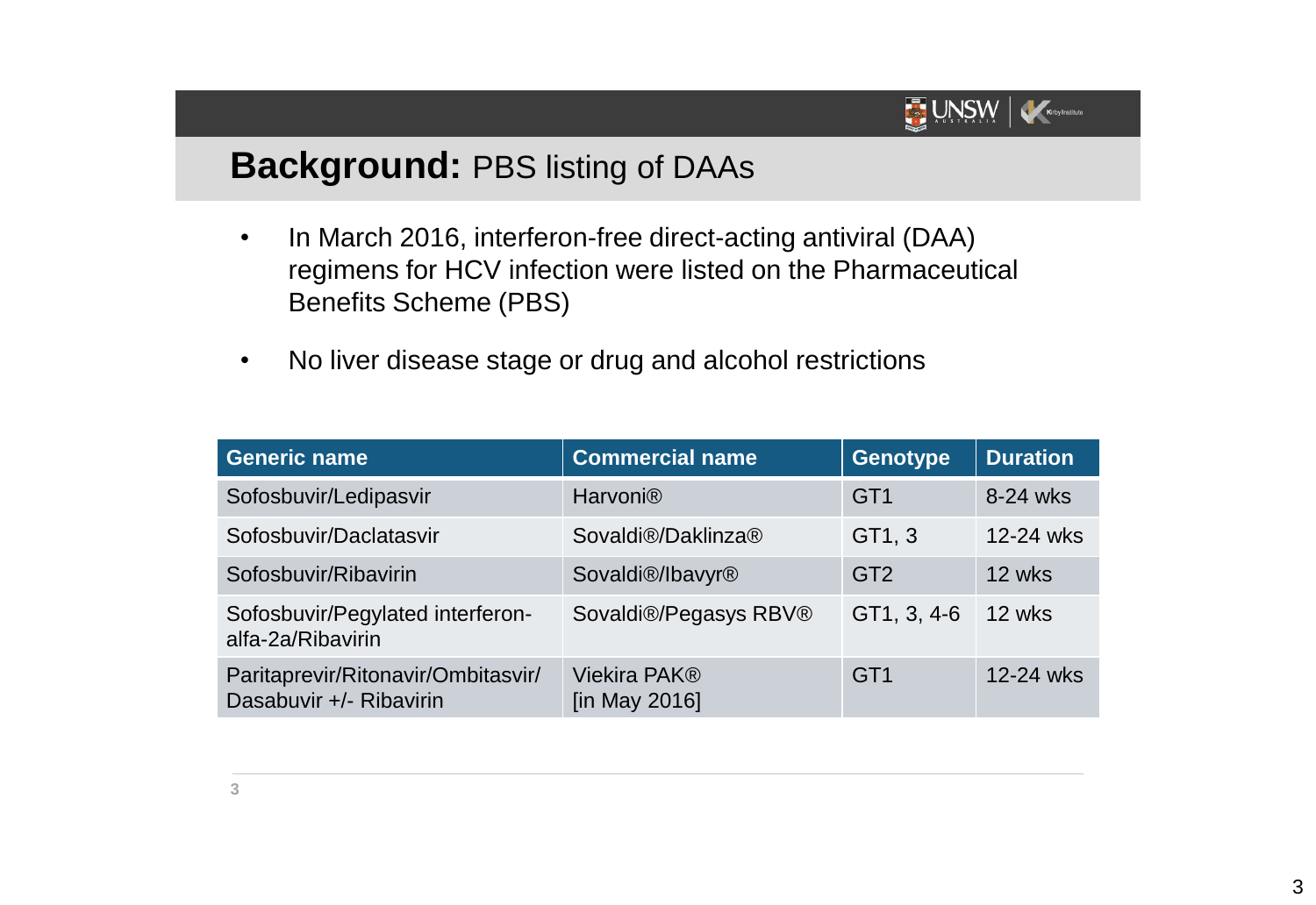

### **Background:** PBS listing of DAAs

- In March 2016, interferon-free direct-acting antiviral (DAA) regimens for HCV infection were listed on the Pharmaceutical Benefits Scheme (PBS)
- No liver disease stage or drug and alcohol restrictions

| <b>Generic name</b>                                           | <b>Commercial name</b>                    | <b>Genotype</b> | <b>Duration</b> |
|---------------------------------------------------------------|-------------------------------------------|-----------------|-----------------|
| Sofosbuvir/Ledipasvir                                         | <b>Harvoni®</b>                           | GT <sub>1</sub> | 8-24 wks        |
| Sofosbuvir/Daclatasvir                                        | Sovaldi®/Daklinza®                        | GT1, 3          | 12-24 wks       |
| Sofosbuvir/Ribavirin                                          | Sovaldi <sup>®</sup> /lbavyr <sup>®</sup> | GT <sub>2</sub> | 12 wks          |
| Sofosbuvir/Pegylated interferon-<br>alfa-2a/Ribavirin         | Sovaldi®/Pegasys RBV®                     | GT1, 3, 4-6     | 12 wks          |
| Paritaprevir/Ritonavir/Ombitasvir/<br>Dasabuvir +/- Ribavirin | Viekira PAK <sup>®</sup><br>[in May 2016] | GT <sub>1</sub> | 12-24 wks       |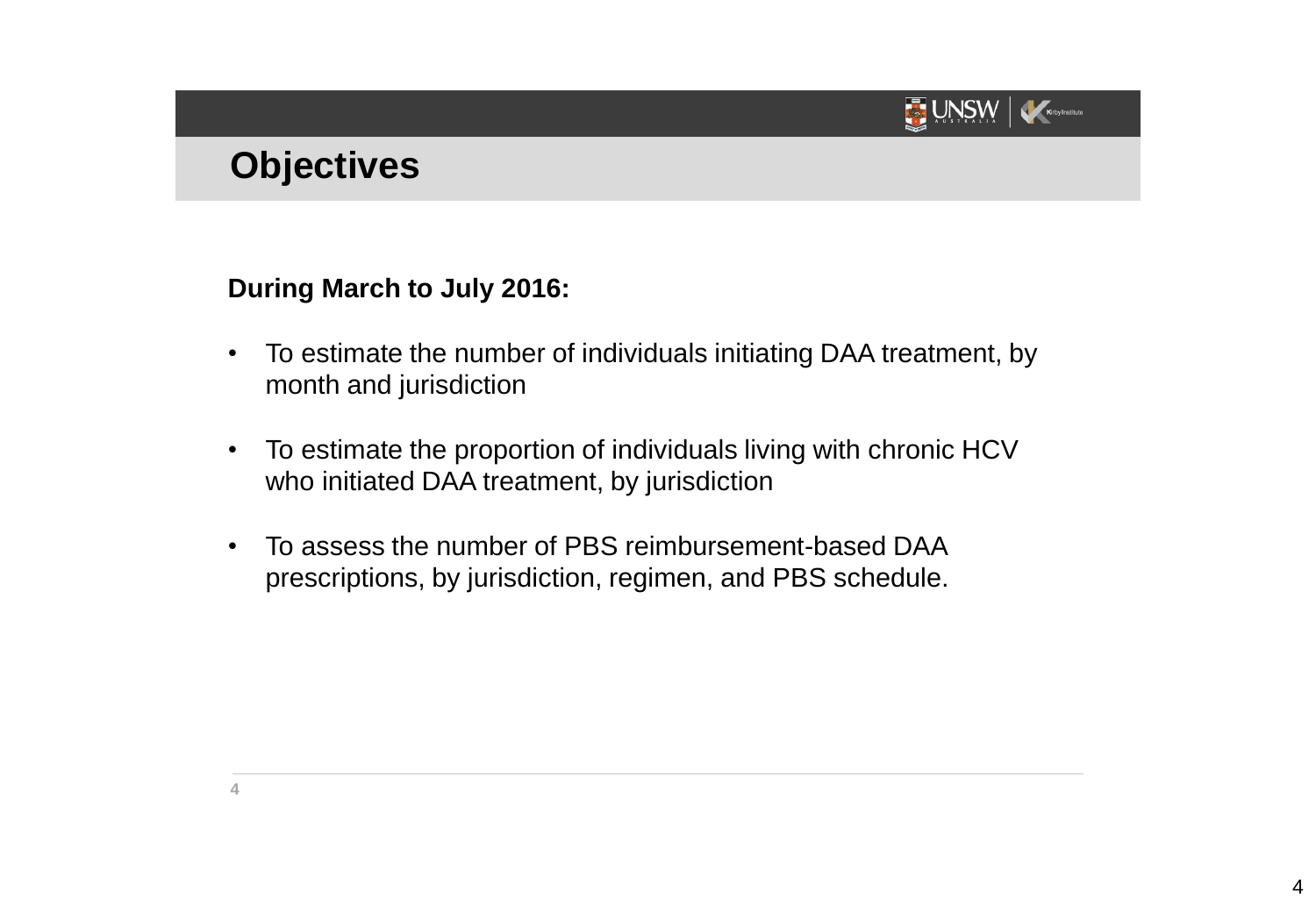

# **Objectives**

**During March to July 2016:**

- To estimate the number of individuals initiating DAA treatment, by month and jurisdiction
- To estimate the proportion of individuals living with chronic HCV who initiated DAA treatment, by jurisdiction
- To assess the number of PBS reimbursement-based DAA prescriptions, by jurisdiction, regimen, and PBS schedule.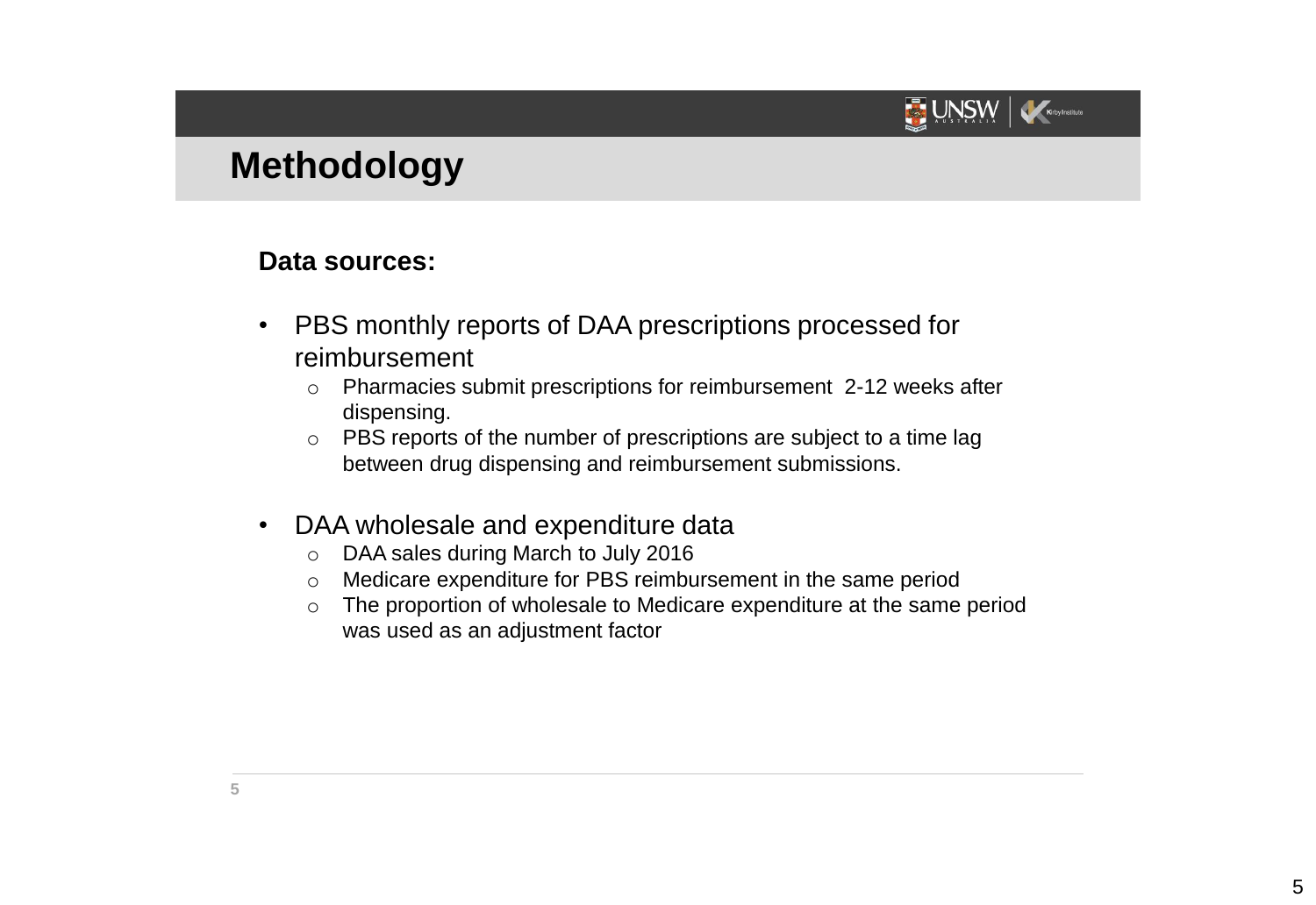

# **Methodology**

#### **Data sources:**

- PBS monthly reports of DAA prescriptions processed for reimbursement
	- o Pharmacies submit prescriptions for reimbursement 2-12 weeks after dispensing.
	- o PBS reports of the number of prescriptions are subject to a time lag between drug dispensing and reimbursement submissions.
- DAA wholesale and expenditure data
	- o DAA sales during March to July 2016
	- o Medicare expenditure for PBS reimbursement in the same period
	- o The proportion of wholesale to Medicare expenditure at the same period was used as an adjustment factor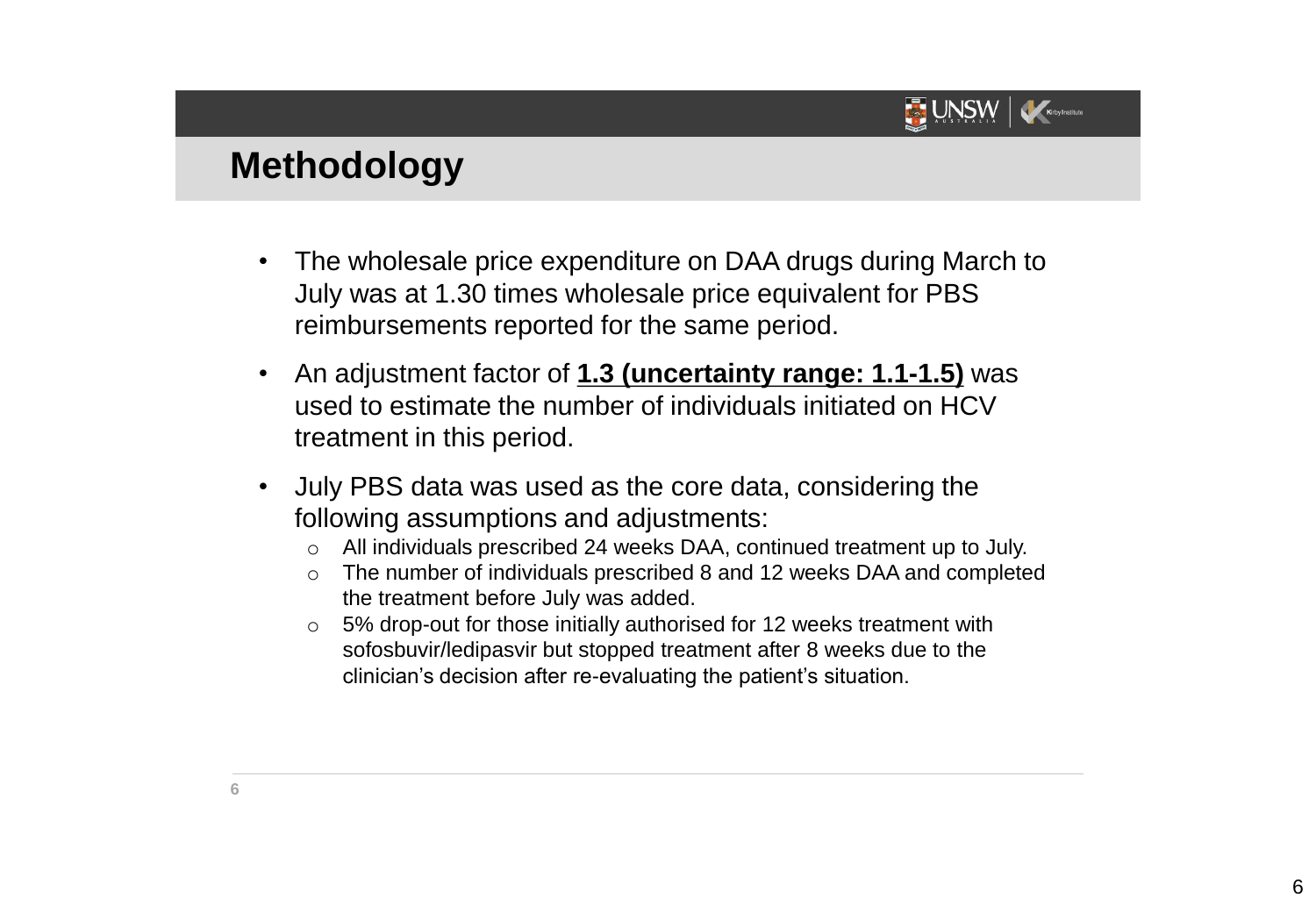

## **Methodology**

- The wholesale price expenditure on DAA drugs during March to July was at 1.30 times wholesale price equivalent for PBS reimbursements reported for the same period.
- An adjustment factor of **1.3 (uncertainty range: 1.1-1.5)** was used to estimate the number of individuals initiated on HCV treatment in this period.
- July PBS data was used as the core data, considering the following assumptions and adjustments:
	- o All individuals prescribed 24 weeks DAA, continued treatment up to July.
	- o The number of individuals prescribed 8 and 12 weeks DAA and completed the treatment before July was added.
	- o 5% drop-out for those initially authorised for 12 weeks treatment with sofosbuvir/ledipasvir but stopped treatment after 8 weeks due to the clinician's decision after re-evaluating the patient's situation.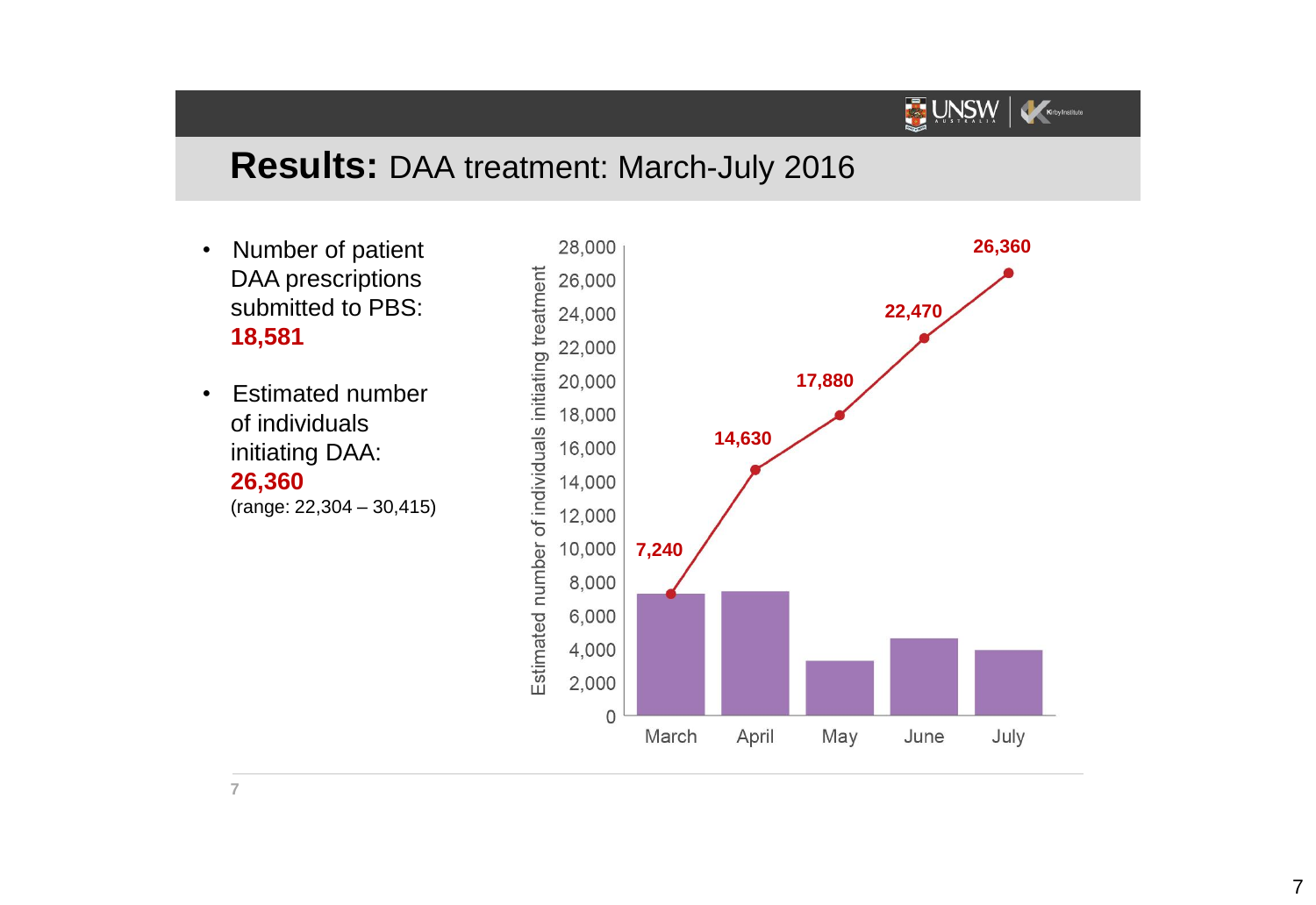# **Results:** DAA treatment: March-July 2016

- Number of patient DAA prescriptions submitted to PBS: **18,581**
- Estimated number of individuals initiating DAA: **26,360** (range: 22,304 – 30,415)



UNSW KeeyInstitute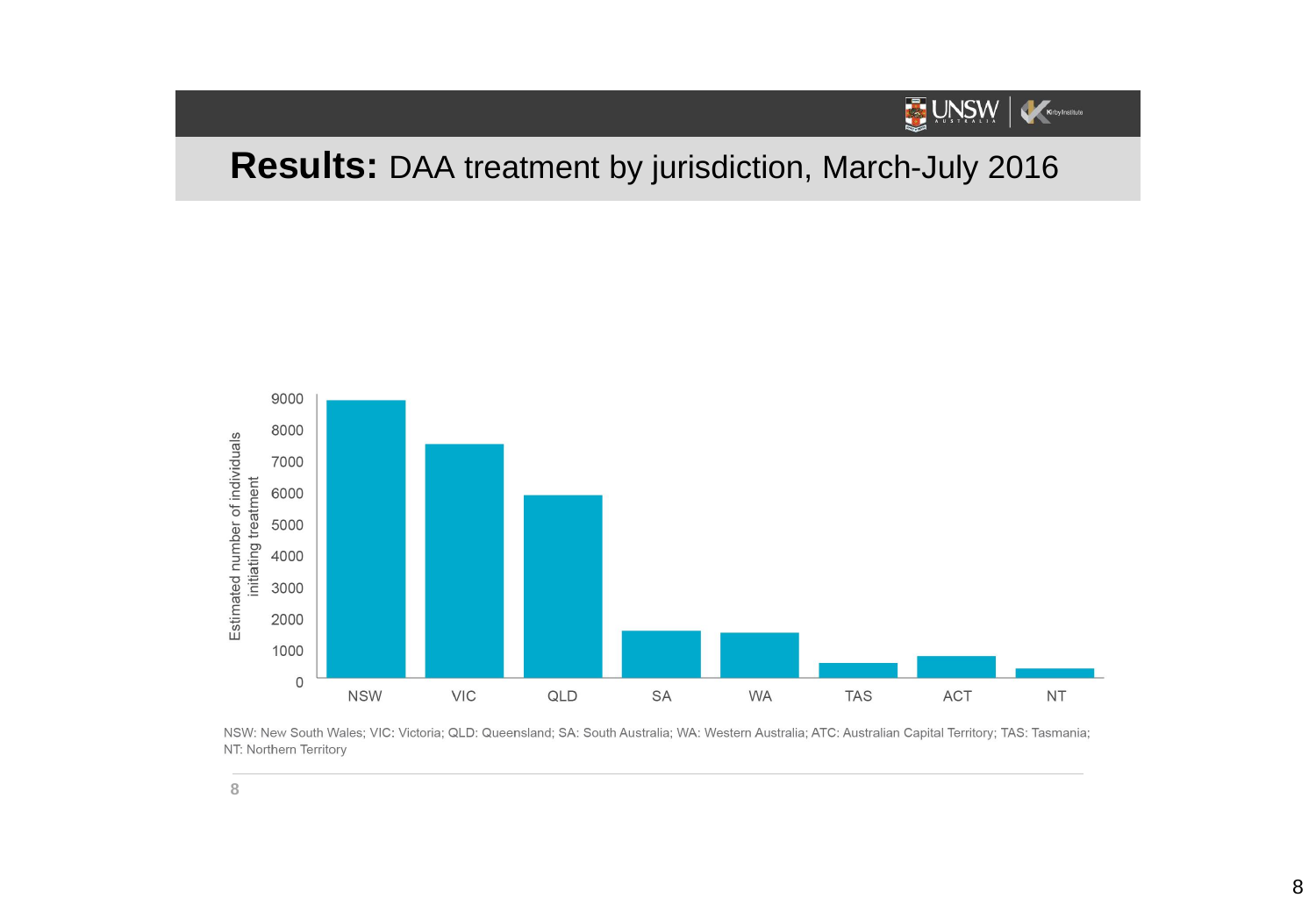

# **Results:** DAA treatment by jurisdiction, March-July 2016



NSW: New South Wales; VIC: Victoria; QLD: Queensland; SA: South Australia; WA: Western Australia; ATC: Australian Capital Territory; TAS: Tasmania; NT: Northern Territory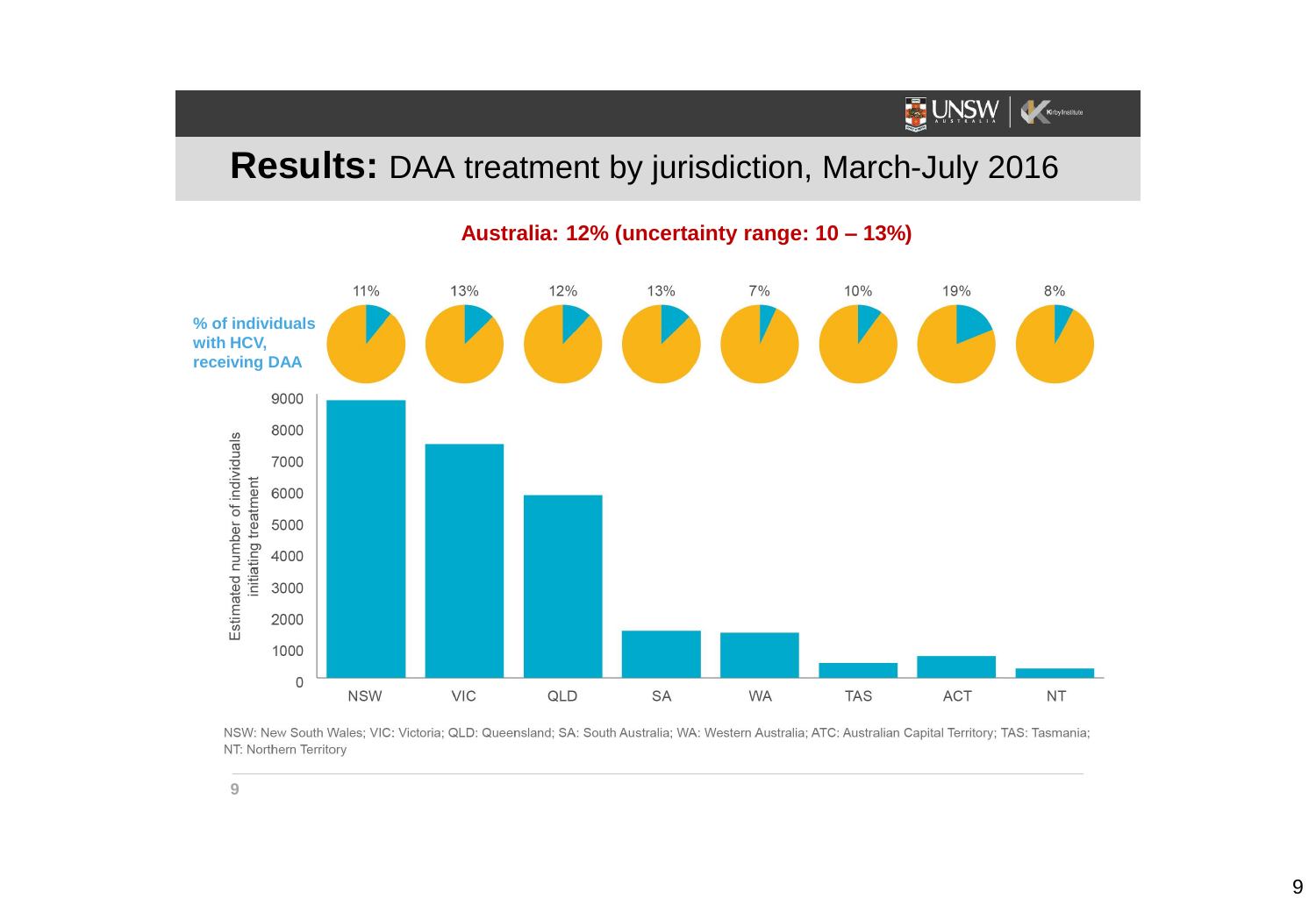# UNSW Kary Institute

### **Results:** DAA treatment by jurisdiction, March-July 2016



**Australia: 12% (uncertainty range: 10 – 13%)**

NSW: New South Wales; VIC: Victoria; QLD: Queensland; SA: South Australia; WA: Western Australia; ATC: Australian Capital Territory; TAS: Tasmania; NT: Northern Territory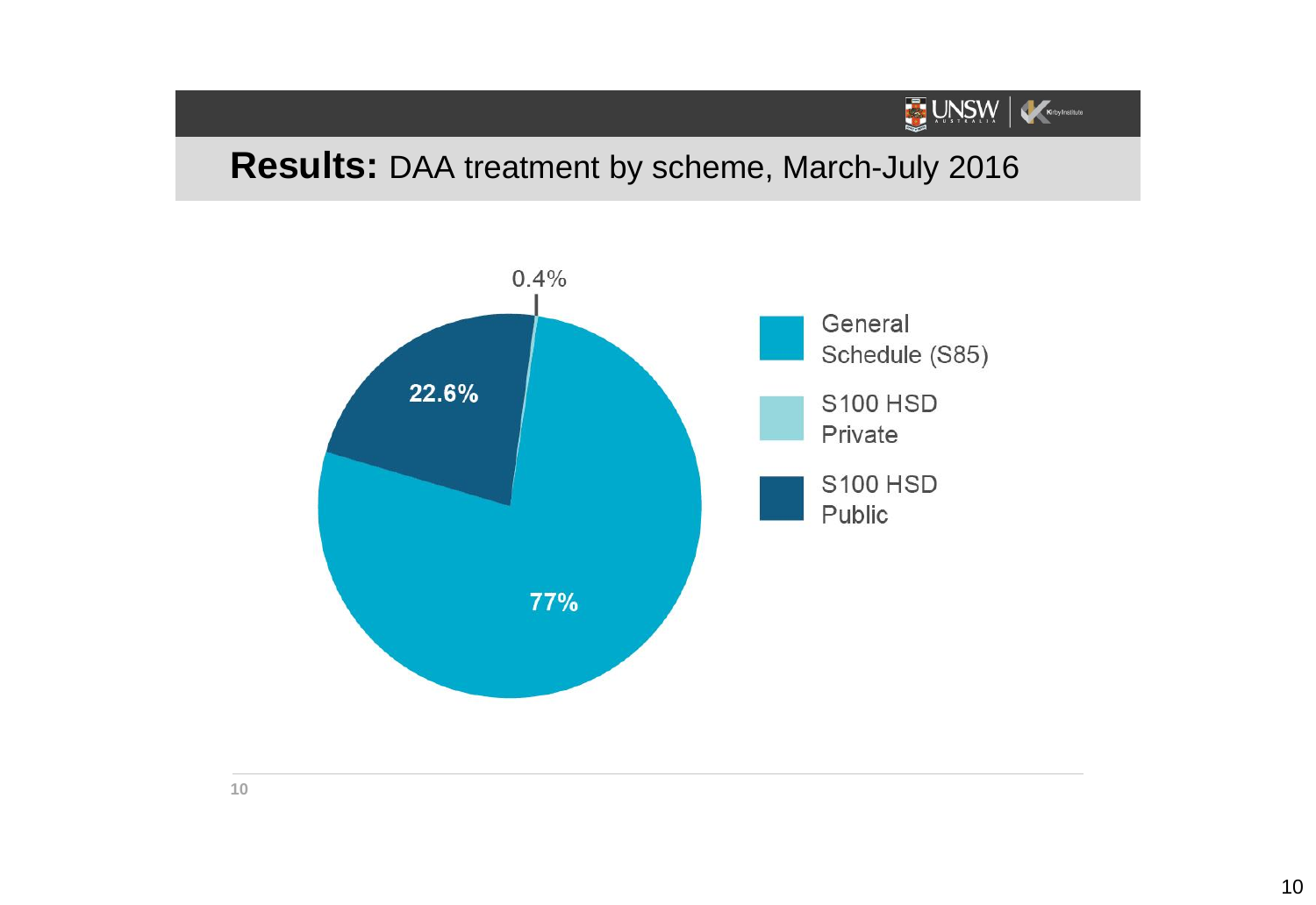### **Results:** DAA treatment by scheme, March-July 2016

UNSW Keeyhaltute

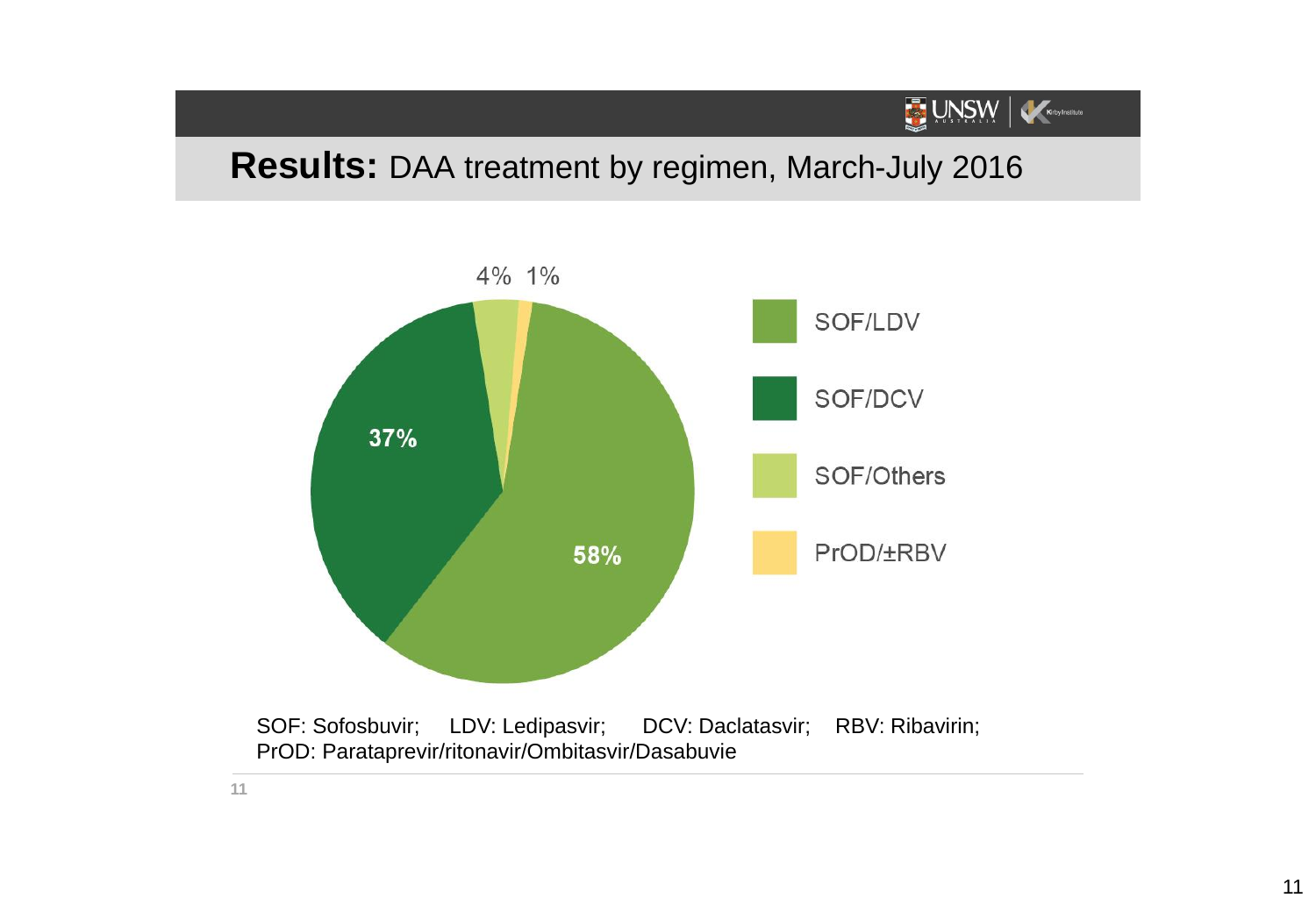#### **Results:** DAA treatment by regimen, March-July 2016

UNSW Katylnsitue



SOF: Sofosbuvir; LDV: Ledipasvir; DCV: Daclatasvir; RBV: Ribavirin; PrOD: Parataprevir/ritonavir/Ombitasvir/Dasabuvie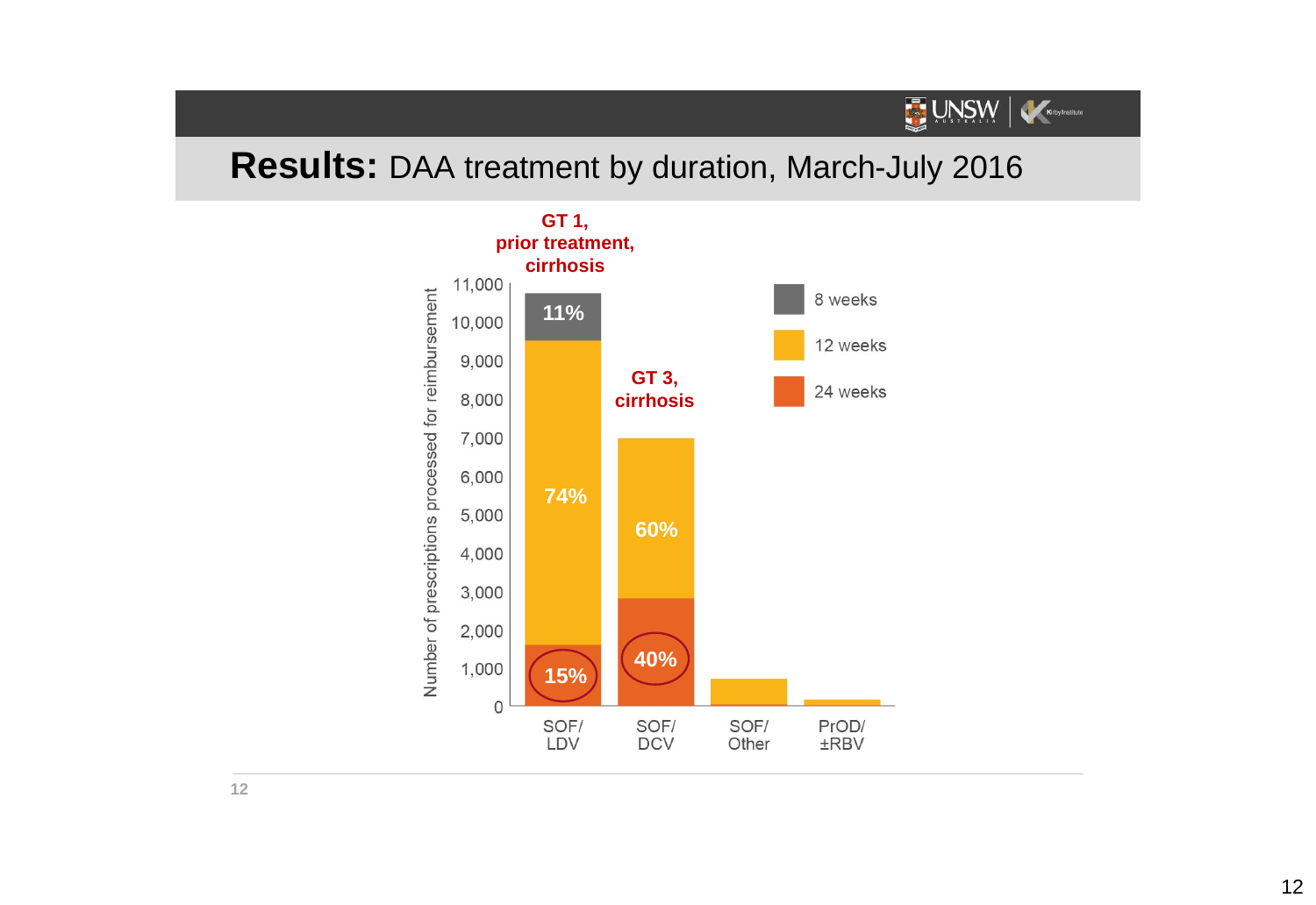#### **Results:** DAA treatment by duration, March-July 2016

UNSW Keey Institute

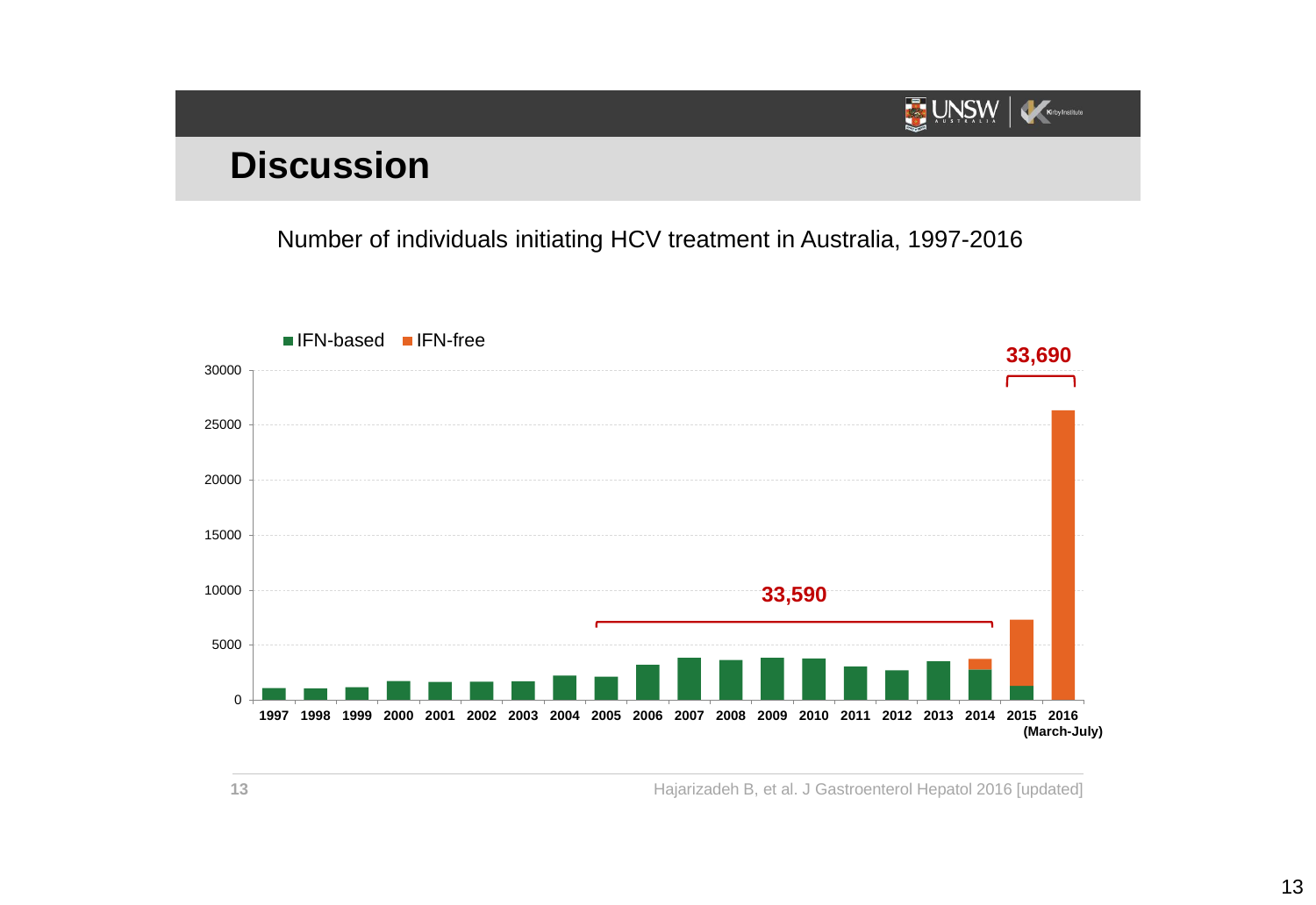#### UNSW Kirby Institute

# **Discussion**

Number of individuals initiating HCV treatment in Australia, 1997-2016



Hajarizadeh B, et al. J Gastroenterol Hepatol 2016 [updated]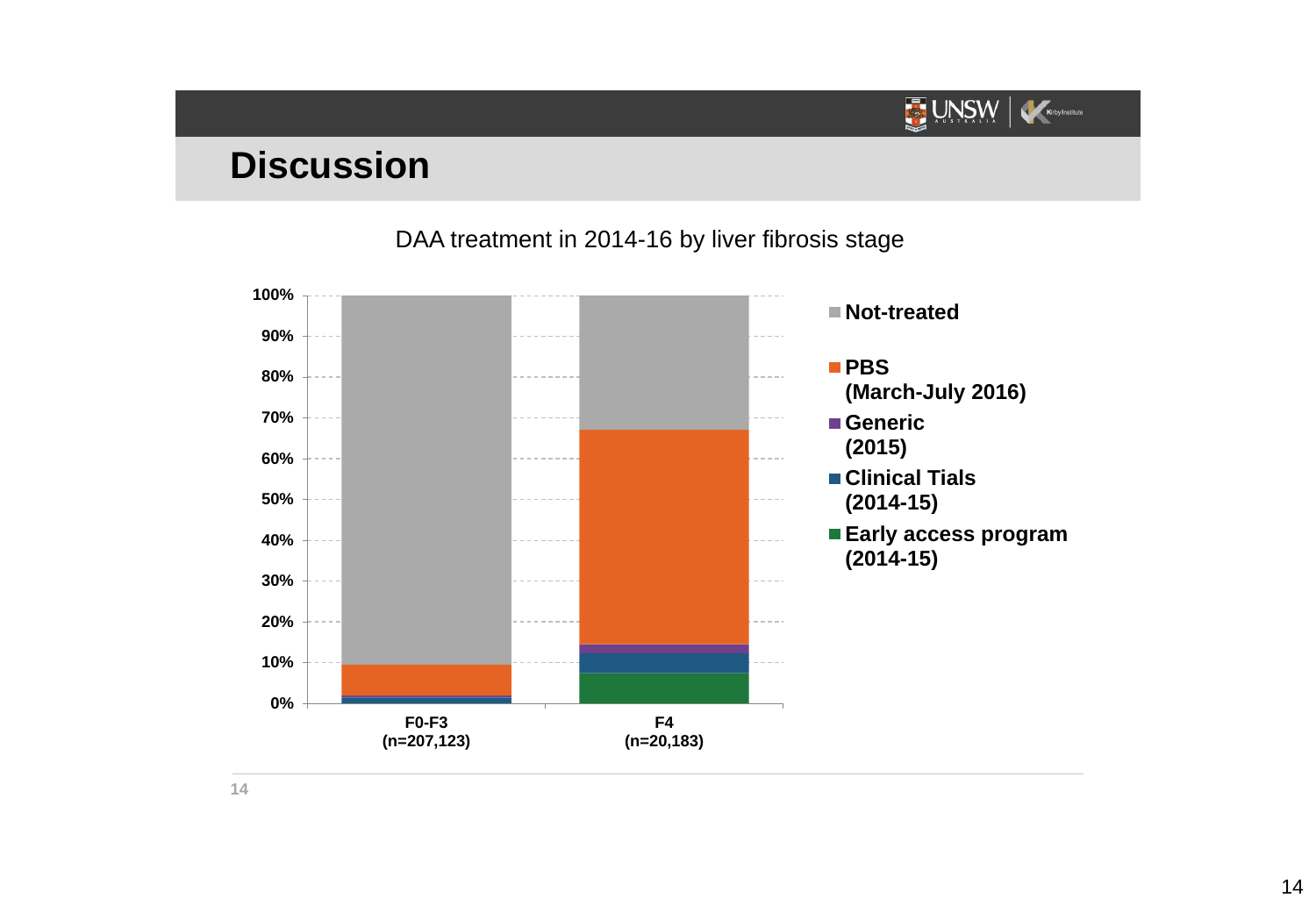## **Discussion**

DAA treatment in 2014-16 by liver fibrosis stage

UNSW

Kirby Institute

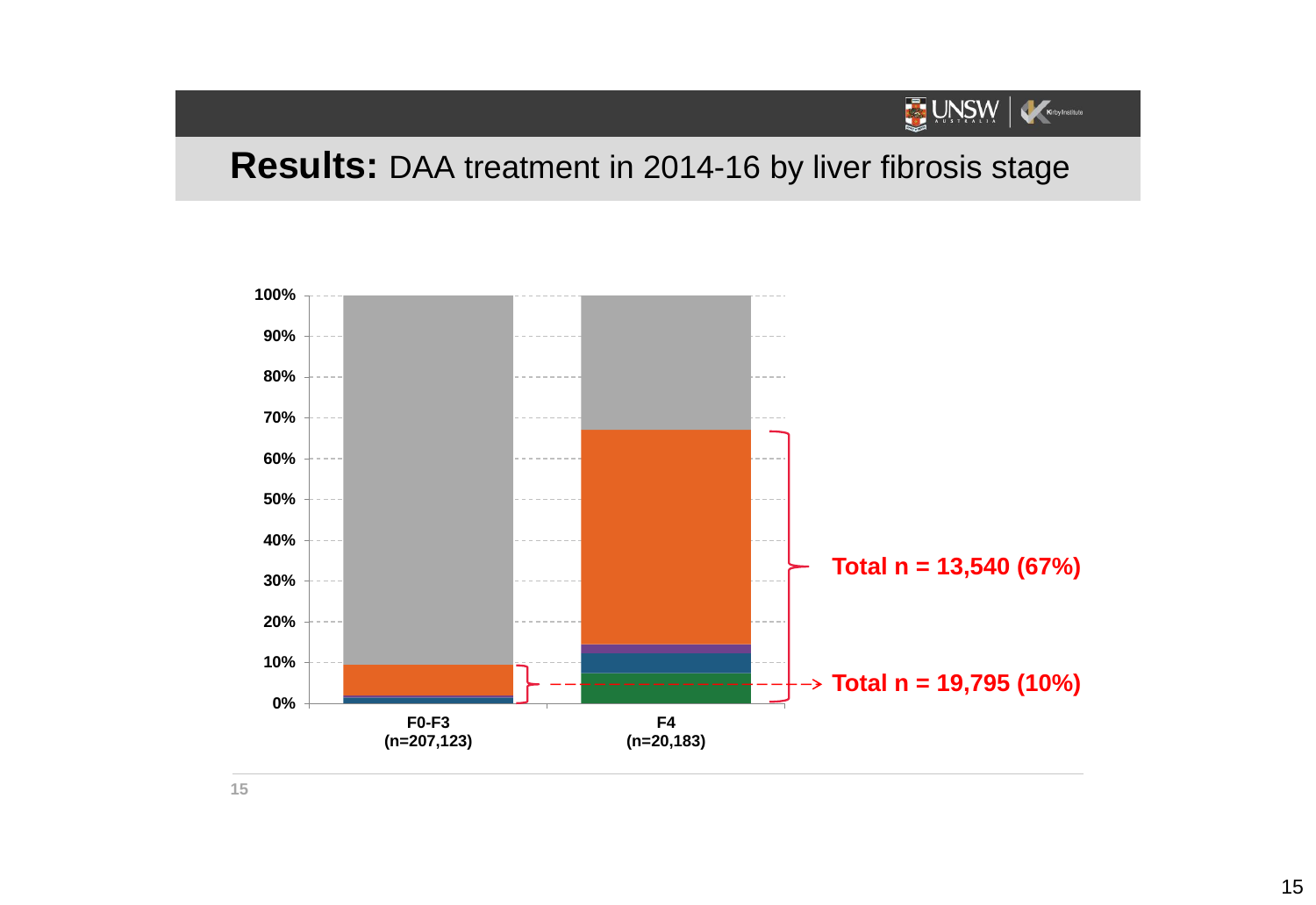#### UNSW Kirby Institute

#### **Results:** DAA treatment in 2014-16 by liver fibrosis stage

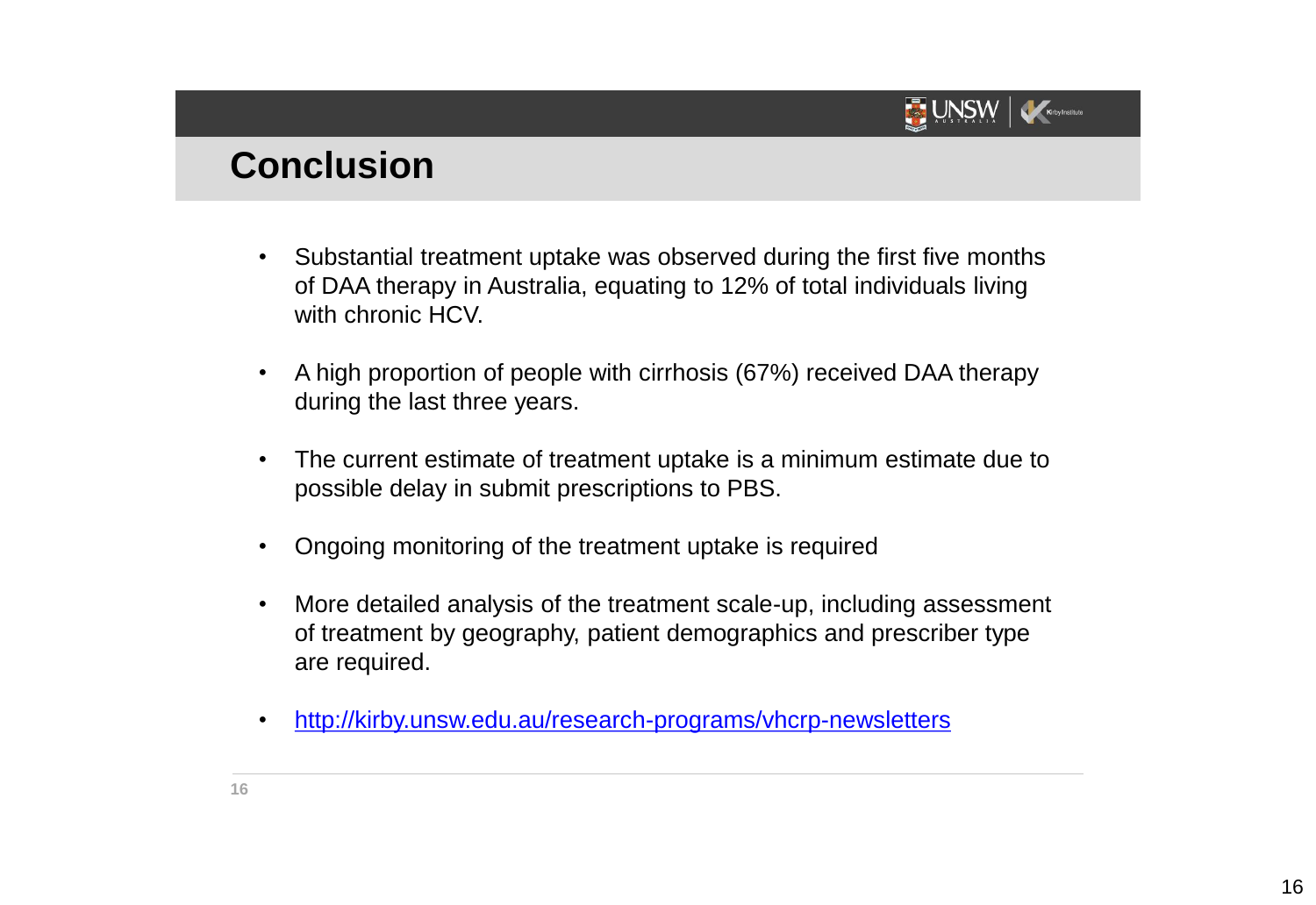

#### **Conclusion**

- Substantial treatment uptake was observed during the first five months of DAA therapy in Australia, equating to 12% of total individuals living with chronic HCV.
- A high proportion of people with cirrhosis (67%) received DAA therapy during the last three years.
- The current estimate of treatment uptake is a minimum estimate due to possible delay in submit prescriptions to PBS.
- Ongoing monitoring of the treatment uptake is required
- More detailed analysis of the treatment scale-up, including assessment of treatment by geography, patient demographics and prescriber type are required.
- <http://kirby.unsw.edu.au/research-programs/vhcrp-newsletters>